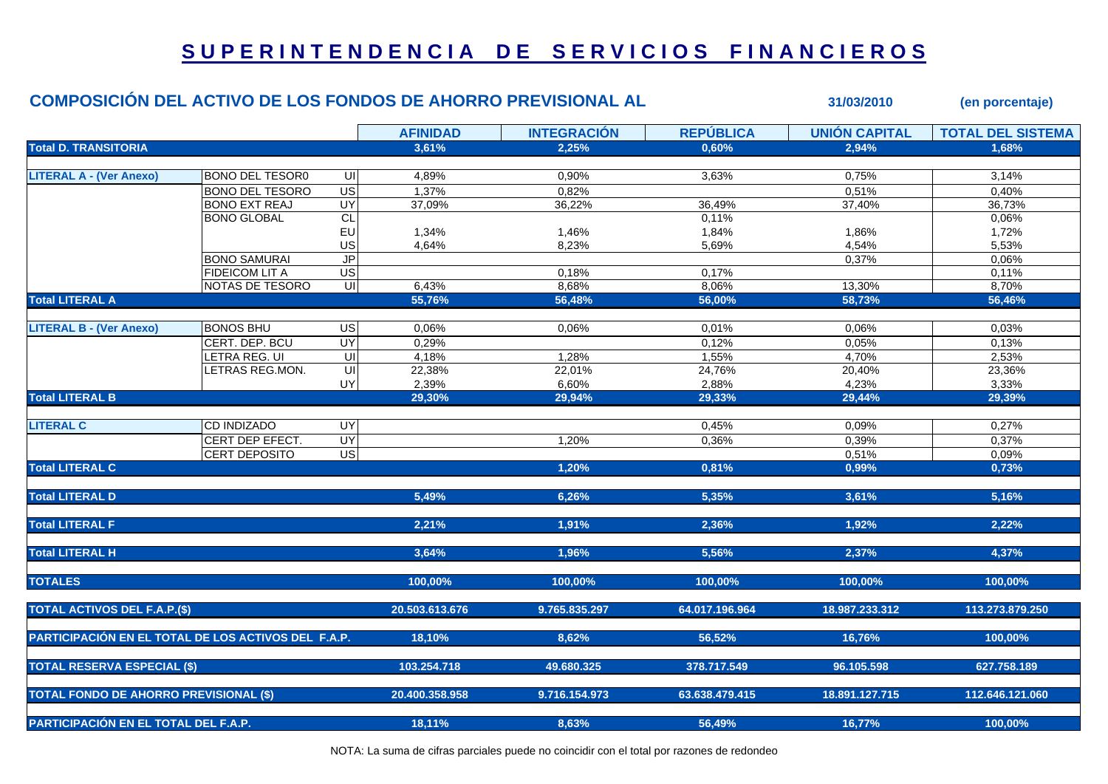## **S U P E R I N T E N D E N C I A D E S E R V I C I O S F I N A N C I E R O S**

|                                                     | <b>COMPOSICIÓN DEL ACTIVO DE LOS FONDOS DE AHORRO PREVISIONAL AL</b> |                                    |                 |                    |                  | 31/03/2010           | (en porcentaje)          |
|-----------------------------------------------------|----------------------------------------------------------------------|------------------------------------|-----------------|--------------------|------------------|----------------------|--------------------------|
|                                                     |                                                                      |                                    | <b>AFINIDAD</b> | <b>INTEGRACIÓN</b> | <b>REPÚBLICA</b> | <b>UNIÓN CAPITAL</b> | <b>TOTAL DEL SISTEMA</b> |
| <b>Total D. TRANSITORIA</b>                         |                                                                      |                                    | 3,61%           | 2,25%              | 0,60%            | 2,94%                | 1,68%                    |
|                                                     |                                                                      |                                    |                 |                    |                  |                      |                          |
| <b>LITERAL A - (Ver Anexo)</b>                      | <b>BONO DEL TESOR0</b>                                               | UI                                 | 4,89%           | 0,90%              | 3,63%            | 0,75%                | 3,14%                    |
|                                                     | <b>BONO DEL TESORO</b>                                               | US                                 | 1,37%           | 0,82%              |                  | 0,51%                | $0,40\%$                 |
|                                                     | <b>BONO EXT REAJ</b>                                                 | <b>UY</b>                          | 37,09%          | 36,22%             | 36,49%           | 37,40%               | 36,73%                   |
|                                                     | <b>BONO GLOBAL</b>                                                   | CL                                 |                 |                    | 0,11%            |                      | 0,06%                    |
|                                                     |                                                                      | EU                                 | 1,34%           | 1,46%              | 1,84%            | 1,86%                | 1,72%                    |
|                                                     |                                                                      | US                                 | 4,64%           | 8,23%              | 5,69%            | 4,54%                | 5,53%                    |
|                                                     | <b>BONO SAMURAI</b>                                                  | J <sub>P</sub>                     |                 |                    |                  | 0,37%                | 0,06%                    |
|                                                     | FIDEICOM LIT A                                                       | US                                 |                 | 0,18%              | 0,17%            |                      | 0,11%                    |
|                                                     | NOTAS DE TESORO                                                      | $\overline{\mathsf{u}}$            | 6,43%           | 8,68%              | 8,06%            | 13,30%               | 8,70%                    |
| <b>Total LITERAL A</b>                              |                                                                      |                                    | 55,76%          | 56,48%             | 56,00%           | 58,73%               | 56,46%                   |
|                                                     |                                                                      |                                    |                 |                    |                  |                      |                          |
| <b>LITERAL B - (Ver Anexo)</b>                      | <b>BONOS BHU</b>                                                     | US                                 | 0,06%           | 0,06%              | 0,01%            | 0,06%                | 0,03%                    |
|                                                     | CERT. DEP. BCU                                                       | <b>UY</b>                          | 0,29%           |                    | 0,12%            | 0,05%                | 0,13%                    |
|                                                     | LETRA REG. UI                                                        | $\overline{\overline{\mathsf{c}}}$ | 4,18%           | 1,28%              | 1,55%            | 4,70%                | 2,53%                    |
|                                                     | LETRAS REG.MON.                                                      | $\overline{\overline{\mathsf{c}}}$ | 22,38%          | 22,01%             | 24,76%           | 20,40%               | 23,36%                   |
|                                                     |                                                                      | UY                                 | 2,39%           | 6,60%              | 2,88%            | 4,23%                | 3,33%                    |
| <b>Total LITERAL B</b>                              |                                                                      |                                    | 29,30%          | 29,94%             | 29,33%           | 29,44%               | 29,39%                   |
| <b>LITERAL C</b>                                    | <b>CD INDIZADO</b>                                                   | UY                                 |                 |                    | 0,45%            | 0,09%                | 0,27%                    |
|                                                     | CERT DEP EFECT.                                                      | <b>UY</b>                          |                 | 1,20%              | 0,36%            | 0,39%                | 0,37%                    |
|                                                     | CERT DEPOSITO                                                        | US                                 |                 |                    |                  | 0,51%                | 0,09%                    |
| <b>Total LITERAL C</b>                              |                                                                      |                                    |                 | 1,20%              | 0,81%            | 0,99%                | 0,73%                    |
| <b>Total LITERAL D</b>                              |                                                                      |                                    | 5,49%           | 6,26%              | 5,35%            | 3,61%                | 5,16%                    |
| <b>Total LITERAL F</b>                              |                                                                      |                                    | 2,21%           | 1,91%              | 2,36%            | 1,92%                | 2,22%                    |
| <b>Total LITERAL H</b>                              |                                                                      |                                    | 3,64%           | 1,96%              | 5,56%            | 2,37%                | 4,37%                    |
| <b>TOTALES</b>                                      |                                                                      |                                    | 100,00%         | 100,00%            | 100,00%          | 100,00%              | 100,00%                  |
| <b>TOTAL ACTIVOS DEL F.A.P.(\$)</b>                 |                                                                      |                                    | 20.503.613.676  | 9.765.835.297      | 64.017.196.964   | 18.987.233.312       | 113.273.879.250          |
| PARTICIPACIÓN EN EL TOTAL DE LOS ACTIVOS DEL F.A.P. |                                                                      |                                    | 18,10%          | 8,62%              | 56,52%           | 16,76%               | 100,00%                  |
| <b>TOTAL RESERVA ESPECIAL (\$)</b>                  |                                                                      |                                    | 103.254.718     | 49.680.325         | 378.717.549      | 96.105.598           | 627.758.189              |
| <b>TOTAL FONDO DE AHORRO PREVISIONAL (\$)</b>       |                                                                      |                                    | 20.400.358.958  | 9.716.154.973      | 63.638.479.415   | 18.891.127.715       | 112.646.121.060          |
| PARTICIPACIÓN EN EL TOTAL DEL F.A.P.                |                                                                      |                                    | 18,11%          | 8,63%              | 56,49%           | 16,77%               | 100,00%                  |

NOTA: La suma de cifras parciales puede no coincidir con el total por razones de redondeo